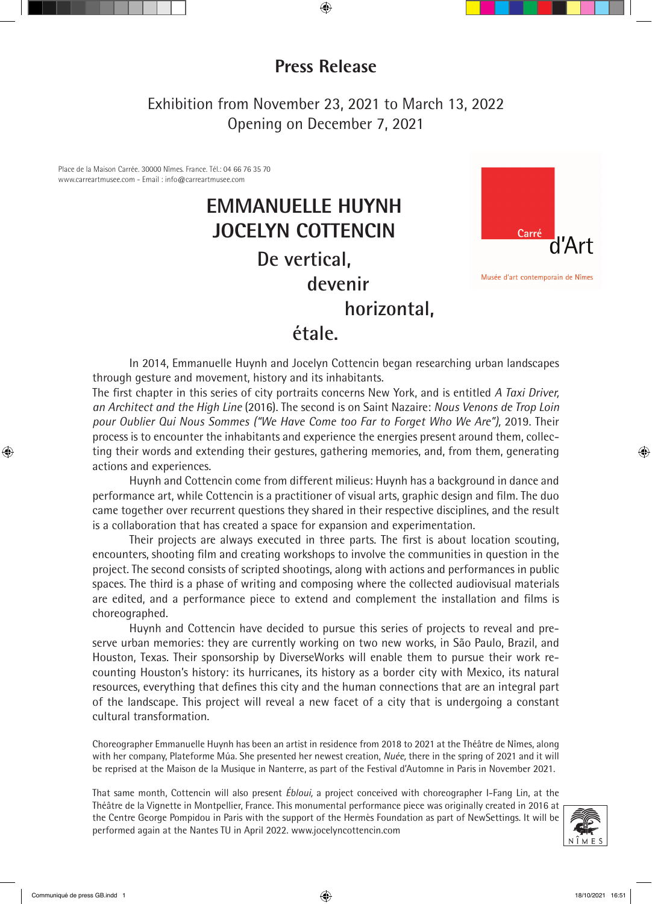## **Press Release**

Exhibition from November 23, 2021 to March 13, 2022 Opening on December 7, 2021

Place de la Maison Carrée. 30000 Nîmes. France. Tél.: 04 66 76 35 70 www.carreartmusee.com - Email : info@carreartmusee.com

## **EMMANUELLE HUYNH JOCELYN COTTENCIN De vertical, devenir**



Musée d'art contemporain de Nîmes

#### **horizontal,**

### **étale.**

In 2014, Emmanuelle Huynh and Jocelyn Cottencin began researching urban landscapes through gesture and movement, history and its inhabitants.

The first chapter in this series of city portraits concerns New York, and is entitled *A Taxi Driver, an Architect and the High Line* (2016). The second is on Saint Nazaire: *Nous Venons de Trop Loin pour Oublier Qui Nous Sommes ("We Have Come too Far to Forget Who We Are"),* 2019. Their process is to encounter the inhabitants and experience the energies present around them, collecting their words and extending their gestures, gathering memories, and, from them, generating actions and experiences.

Huynh and Cottencin come from different milieus: Huynh has a background in dance and performance art, while Cottencin is a practitioner of visual arts, graphic design and film. The duo came together over recurrent questions they shared in their respective disciplines, and the result is a collaboration that has created a space for expansion and experimentation.

Their projects are always executed in three parts. The first is about location scouting, encounters, shooting film and creating workshops to involve the communities in question in the project. The second consists of scripted shootings, along with actions and performances in public spaces. The third is a phase of writing and composing where the collected audiovisual materials are edited, and a performance piece to extend and complement the installation and films is choreographed.

Huynh and Cottencin have decided to pursue this series of projects to reveal and preserve urban memories: they are currently working on two new works, in São Paulo, Brazil, and Houston, Texas. Their sponsorship by DiverseWorks will enable them to pursue their work recounting Houston's history: its hurricanes, its history as a border city with Mexico, its natural resources, everything that defines this city and the human connections that are an integral part of the landscape. This project will reveal a new facet of a city that is undergoing a constant cultural transformation.

Choreographer Emmanuelle Huynh has been an artist in residence from 2018 to 2021 at the Théâtre de Nîmes, along with her company, Plateforme Múa. She presented her newest creation, *Nuée,* there in the spring of 2021 and it will be reprised at the Maison de la Musique in Nanterre, as part of the Festival d'Automne in Paris in November 2021.

That same month, Cottencin will also present *Ébloui,* a project conceived with choreographer I-Fang Lin, at the Théâtre de la Vignette in Montpellier, France. This monumental performance piece was originally created in 2016 at the Centre George Pompidou in Paris with the support of the Hermès Foundation as part of NewSettings. It will be performed again at the Nantes TU in April 2022. www.jocelyncottencin.com